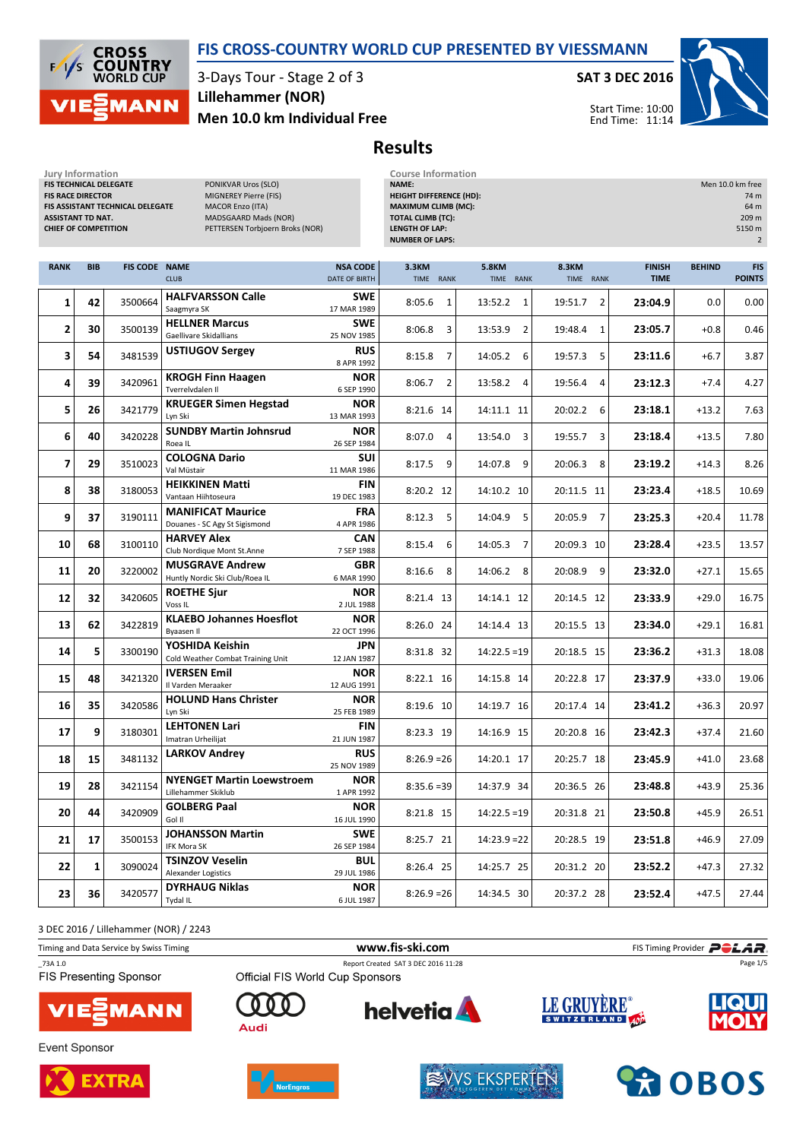

3-Days Tour - Stage 2 of 3 Men 10.0 km Individual Free Lillehammer (NOR)

#### SAT 3 DEC 2016





End Time: 11:14

# Results

| Jury Information<br>FIS TECHNICAL DELEGATE<br><b>FIS RACE DIRECTOR</b><br><b>ASSISTANT TD NAT.</b><br><b>CHIEF OF COMPETITION</b> |            | <b>FIS ASSISTANT TECHNICAL DELEGATE</b> | PONIKVAR Uros (SLO)<br>MIGNEREY Pierre (FIS)<br><b>MACOR Enzo (ITA)</b><br>MADSGAARD Mads (NOR)<br>PETTERSEN Torbjoern Broks (NOR) |                                  | <b>Course Information</b><br>NAME:<br><b>HEIGHT DIFFERENCE (HD):</b><br><b>MAXIMUM CLIMB (MC):</b><br><b>TOTAL CLIMB (TC):</b><br><b>LENGTH OF LAP:</b><br><b>NUMBER OF LAPS:</b> |                           | Men 10.0 km free<br>74 m<br>64 m<br>209 m<br>5150 m<br>$\overline{2}$ |                              |               |                             |
|-----------------------------------------------------------------------------------------------------------------------------------|------------|-----------------------------------------|------------------------------------------------------------------------------------------------------------------------------------|----------------------------------|-----------------------------------------------------------------------------------------------------------------------------------------------------------------------------------|---------------------------|-----------------------------------------------------------------------|------------------------------|---------------|-----------------------------|
| <b>RANK</b>                                                                                                                       | <b>BIB</b> | <b>FIS CODE NAME</b>                    | <b>CLUB</b>                                                                                                                        | <b>NSA CODE</b><br>DATE OF BIRTH | 3.3KM<br>TIME RANK                                                                                                                                                                | <b>5.8KM</b><br>TIME RANK | 8.3KM<br>TIME RANK                                                    | <b>FINISH</b><br><b>TIME</b> | <b>BEHIND</b> | <b>FIS</b><br><b>POINTS</b> |
| 1                                                                                                                                 | 42         | 3500664                                 | <b>HALFVARSSON Calle</b><br>Saagmyra SK                                                                                            | <b>SWE</b><br>17 MAR 1989        | 8:05.6<br>1                                                                                                                                                                       | 13:52.2<br>1              | 19:51.7<br>$\overline{2}$                                             | 23:04.9                      | 0.0           | 0.00                        |
| 2                                                                                                                                 | 30         | 3500139                                 | <b>HELLNER Marcus</b><br>Gaellivare Skidallians                                                                                    | <b>SWE</b><br>25 NOV 1985        | 8:06.8<br>3                                                                                                                                                                       | $\overline{2}$<br>13:53.9 | 19:48.4<br>1                                                          | 23:05.7                      | $+0.8$        | 0.46                        |
| 3                                                                                                                                 | 54         | 3481539                                 | <b>USTIUGOV Sergey</b>                                                                                                             | <b>RUS</b><br>8 APR 1992         | 8:15.8<br>$\overline{7}$                                                                                                                                                          | 14:05.2<br>6              | 19:57.3<br>5                                                          | 23:11.6                      | $+6.7$        | 3.87                        |
| 4                                                                                                                                 | 39         | 3420961                                 | <b>KROGH Finn Haagen</b><br>Tverrelvdalen II                                                                                       | <b>NOR</b><br>6 SEP 1990         | 8:06.7<br>2                                                                                                                                                                       | 13:58.2<br>$\overline{4}$ | 19:56.4<br>4                                                          | 23:12.3                      | $+7.4$        | 4.27                        |
| 5                                                                                                                                 | 26         | 3421779                                 | <b>KRUEGER Simen Hegstad</b><br>Lyn Ski                                                                                            | <b>NOR</b><br>13 MAR 1993        | 8:21.6 14                                                                                                                                                                         | 14:11.1 11                | 20:02.2<br>6                                                          | 23:18.1                      | $+13.2$       | 7.63                        |
| 6                                                                                                                                 | 40         | 3420228                                 | <b>SUNDBY Martin Johnsrud</b><br>Roea IL                                                                                           | <b>NOR</b><br>26 SEP 1984        | 8:07.0<br>4                                                                                                                                                                       | 3<br>13:54.0              | 19:55.7<br>3                                                          | 23:18.4                      | $+13.5$       | 7.80                        |
| 7                                                                                                                                 | 29         | 3510023                                 | <b>COLOGNA Dario</b><br>Val Müstair                                                                                                | <b>SUI</b><br>11 MAR 1986        | 8:17.5<br>9                                                                                                                                                                       | 14:07.8<br>9              | 20:06.3<br>8                                                          | 23:19.2                      | $+14.3$       | 8.26                        |
| 8                                                                                                                                 | 38         | 3180053                                 | <b>HEIKKINEN Matti</b><br>Vantaan Hiihtoseura                                                                                      | <b>FIN</b><br>19 DEC 1983        | 8:20.2 12                                                                                                                                                                         | 14:10.2 10                | 20:11.5 11                                                            | 23:23.4                      | $+18.5$       | 10.69                       |
| 9                                                                                                                                 | 37         | 3190111                                 | <b>MANIFICAT Maurice</b><br>Douanes - SC Agy St Sigismond                                                                          | <b>FRA</b><br>4 APR 1986         | 5<br>8:12.3                                                                                                                                                                       | 5<br>14:04.9              | 20:05.9<br>7                                                          | 23:25.3                      | $+20.4$       | 11.78                       |
| 10                                                                                                                                | 68         | 3100110                                 | <b>HARVEY Alex</b><br>Club Nordique Mont St.Anne                                                                                   | CAN<br>7 SEP 1988                | 8:15.4<br>6                                                                                                                                                                       | 14:05.3<br>7              | 20:09.3 10                                                            | 23:28.4                      | $+23.5$       | 13.57                       |
| 11                                                                                                                                | 20         | 3220002                                 | <b>MUSGRAVE Andrew</b><br>Huntly Nordic Ski Club/Roea IL                                                                           | <b>GBR</b><br>6 MAR 1990         | 8:16.6<br>8                                                                                                                                                                       | 14:06.2<br>8              | 20:08.9<br>9                                                          | 23:32.0                      | $+27.1$       | 15.65                       |
| 12                                                                                                                                | 32         | 3420605                                 | <b>ROETHE Sjur</b><br>Voss <sub>IL</sub>                                                                                           | <b>NOR</b><br>2 JUL 1988         | 8:21.4 13                                                                                                                                                                         | 14:14.1 12                | 20:14.5 12                                                            | 23:33.9                      | $+29.0$       | 16.75                       |
| 13                                                                                                                                | 62         | 3422819                                 | <b>KLAEBO Johannes Hoesflot</b><br>Byaasen II                                                                                      | <b>NOR</b><br>22 OCT 1996        | 8:26.0 24                                                                                                                                                                         | 14:14.4 13                | 20:15.5 13                                                            | 23:34.0                      | $+29.1$       | 16.81                       |
| 14                                                                                                                                | 5          | 3300190                                 | YOSHIDA Keishin<br>Cold Weather Combat Training Unit                                                                               | JPN<br>12 JAN 1987               | 8:31.8 32                                                                                                                                                                         | $14:22.5=19$              | 20:18.5 15                                                            | 23:36.2                      | $+31.3$       | 18.08                       |
| 15                                                                                                                                | 48         | 3421320                                 | <b>IVERSEN Emil</b><br>Il Varden Meraaker                                                                                          | <b>NOR</b><br>12 AUG 1991        | 8:22.1 16                                                                                                                                                                         | 14:15.8 14                | 20:22.8 17                                                            | 23:37.9                      | $+33.0$       | 19.06                       |
| 16                                                                                                                                | 35         | 3420586                                 | <b>HOLUND Hans Christer</b><br>Lyn Ski                                                                                             | <b>NOR</b><br>25 FEB 1989        | 8:19.6 10                                                                                                                                                                         | 14:19.7 16                | 20:17.4 14                                                            | 23:41.2                      | $+36.3$       | 20.97                       |
| 17                                                                                                                                | 9          | 3180301                                 | <b>LEHTONEN Lari</b><br>Imatran Urheilijat                                                                                         | <b>FIN</b><br>21 JUN 1987        | 8:23.3 19                                                                                                                                                                         | 14:16.9 15                | 20:20.8 16                                                            | 23:42.3                      | $+37.4$       | 21.60                       |
| 18                                                                                                                                | 15         | 3481132                                 | <b>LARKOV Andrey</b>                                                                                                               | <b>RUS</b><br>25 NOV 1989        | $8:26.9=26$                                                                                                                                                                       | 14:20.1 17                | 20:25.7 18                                                            | 23:45.9                      | $+41.0$       | 23.68                       |
| 19                                                                                                                                | 28         | 3421154                                 | <b>NYENGET Martin Loewstroem</b><br>Lillehammer Skiklub                                                                            | <b>NOR</b><br>1 APR 1992         | $8:35.6=39$                                                                                                                                                                       | 14:37.9 34                | 20:36.5 26                                                            | 23:48.8                      | $+43.9$       | 25.36                       |
| 20                                                                                                                                | 44         | 3420909                                 | <b>GOLBERG Paal</b><br>Gol II                                                                                                      | <b>NOR</b><br>16 JUL 1990        | 8:21.8 15                                                                                                                                                                         | $14:22.5=19$              | 20:31.8 21                                                            | 23:50.8                      | $+45.9$       | 26.51                       |
| 21                                                                                                                                | 17         | 3500153                                 | <b>JOHANSSON Martin</b><br>IFK Mora SK                                                                                             | <b>SWE</b><br>26 SEP 1984        | 8:25.7 21                                                                                                                                                                         | $14:23.9 = 22$            | 20:28.5 19                                                            | 23:51.8                      | $+46.9$       | 27.09                       |
| 22                                                                                                                                | 1          | 3090024                                 | <b>TSINZOV Veselin</b><br>Alexander Logistics                                                                                      | BUL<br>29 JUL 1986               | 8:26.4 25                                                                                                                                                                         | 14:25.7 25                | 20:31.2 20                                                            | 23:52.2                      | $+47.3$       | 27.32                       |
| 23                                                                                                                                | 36         | 3420577                                 | <b>DYRHAUG Niklas</b><br>Tydal IL                                                                                                  | <b>NOR</b><br>6 JUL 1987         | $8:26.9=26$                                                                                                                                                                       | 14:34.5 30                | 20:37.2 28                                                            | 23:52.4                      | $+47.5$       | 27.44                       |

3 DEC 2016 / Lillehammer (NOR) / 2243

Timing and Data Service by Swiss Timing **Example 20** and Data Service by Swiss Timing Provider **POLAR** \_73A 1.0 Report Created SAT 3 DEC 2016 11:28

**FIS Presenting Sponsor** 



**Event Sponsor** 





 $\Gamma$ 

Audi

Official FIS World Cup Sponsors



**helvetia** 

**LE GRUYÈRE** 

SWITZERLAND 40<sup>2</sup>



Page 1/5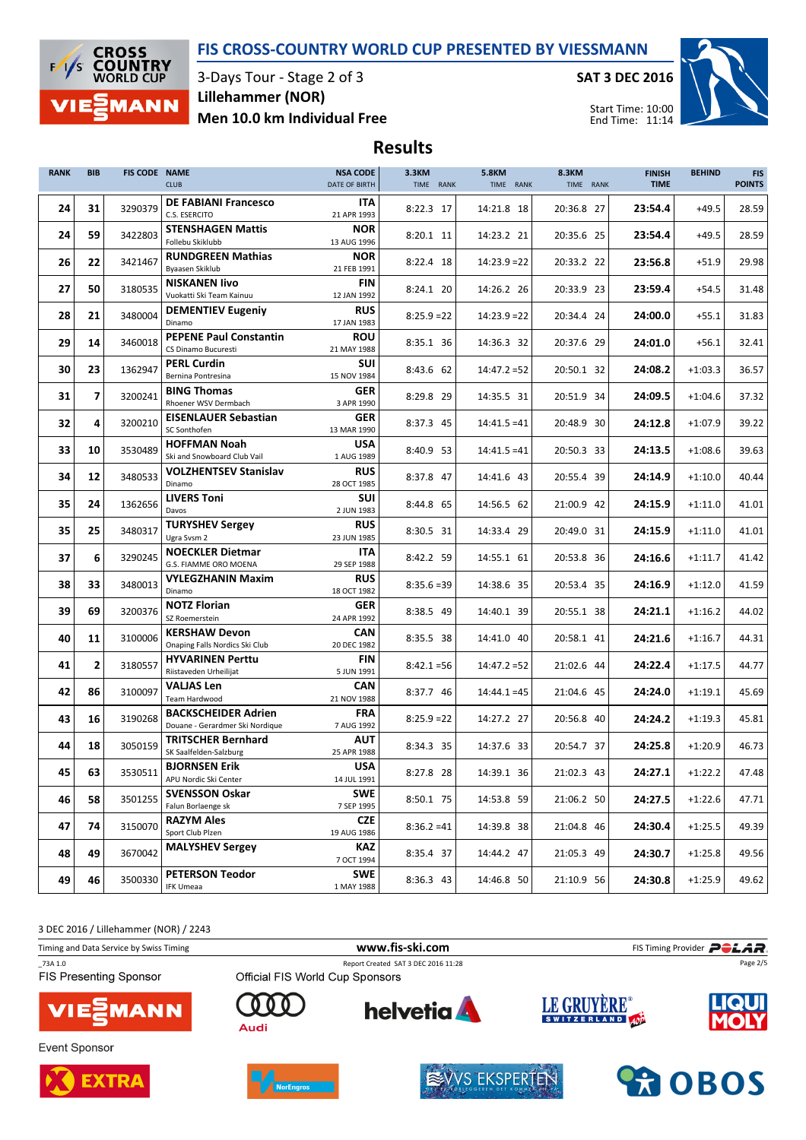

3-Days Tour - Stage 2 of 3 Men 10.0 km Individual Free Lillehammer (NOR)

SAT 3 DEC 2016



Results

| <b>RANK</b> | <b>BIB</b>     | <b>FIS CODE NAME</b> | <b>CLUB</b>                                                   | <b>NSA CODE</b><br>DATE OF BIRTH | 3.3KM<br>TIME RANK | <b>5.8KM</b><br>TIME RANK | 8.3KM<br>TIME RANK | <b>FINISH</b><br><b>TIME</b> | <b>BEHIND</b> | <b>FIS</b><br><b>POINTS</b> |
|-------------|----------------|----------------------|---------------------------------------------------------------|----------------------------------|--------------------|---------------------------|--------------------|------------------------------|---------------|-----------------------------|
| 24          | 31             | 3290379              | <b>DE FABIANI Francesco</b><br>C.S. ESERCITO                  | <b>ITA</b><br>21 APR 1993        | 8:22.3 17          | 14:21.8 18                | 20:36.8 27         | 23:54.4                      | $+49.5$       | 28.59                       |
| 24          | 59             | 3422803              | <b>STENSHAGEN Mattis</b><br>Follebu Skiklubb                  | <b>NOR</b><br>13 AUG 1996        | 8:20.1 11          | 14:23.2 21                | 20:35.6 25         | 23:54.4                      | $+49.5$       | 28.59                       |
| 26          | 22             | 3421467              | <b>RUNDGREEN Mathias</b><br>Byaasen Skiklub                   | <b>NOR</b><br>21 FEB 1991        | 8:22.4 18          | $14:23.9 = 22$            | 20:33.2 22         | 23:56.8                      | $+51.9$       | 29.98                       |
| 27          | 50             | 3180535              | <b>NISKANEN livo</b><br>Vuokatti Ski Team Kainuu              | FIN<br>12 JAN 1992               | 8:24.1 20          | 14:26.2 26                | 20:33.9 23         | 23:59.4                      | $+54.5$       | 31.48                       |
| 28          | 21             | 3480004              | <b>DEMENTIEV Eugeniy</b><br>Dinamo                            | <b>RUS</b><br>17 JAN 1983        | $8:25.9 = 22$      | $14:23.9 = 22$            | 20:34.4 24         | 24:00.0                      | $+55.1$       | 31.83                       |
| 29          | 14             | 3460018              | <b>PEPENE Paul Constantin</b><br>CS Dinamo Bucuresti          | <b>ROU</b><br>21 MAY 1988        | 8:35.1 36          | 14:36.3 32                | 20:37.6 29         | 24:01.0                      | $+56.1$       | 32.41                       |
| 30          | 23             | 1362947              | <b>PERL Curdin</b><br>Bernina Pontresina                      | <b>SUI</b><br>15 NOV 1984        | 8:43.6 62          | $14:47.2 = 52$            | 20:50.1 32         | 24:08.2                      | $+1:03.3$     | 36.57                       |
| 31          | $\overline{7}$ | 3200241              | <b>BING Thomas</b><br>Rhoener WSV Dermbach                    | <b>GER</b><br>3 APR 1990         | 8:29.8 29          | 14:35.5 31                | 20:51.9 34         | 24:09.5                      | $+1:04.6$     | 37.32                       |
| 32          | 4              | 3200210              | <b>EISENLAUER Sebastian</b><br>SC Sonthofen                   | <b>GER</b><br>13 MAR 1990        | 8:37.3 45          | $14:41.5 = 41$            | 20:48.9 30         | 24:12.8                      | $+1:07.9$     | 39.22                       |
| 33          | 10             | 3530489              | <b>HOFFMAN Noah</b><br>Ski and Snowboard Club Vail            | <b>USA</b><br>1 AUG 1989         | 8:40.9 53          | $14:41.5 = 41$            | 20:50.3 33         | 24:13.5                      | $+1:08.6$     | 39.63                       |
| 34          | 12             | 3480533              | <b>VOLZHENTSEV Stanislav</b><br>Dinamo                        | <b>RUS</b><br>28 OCT 1985        | 8:37.8 47          | 14:41.6 43                | 20:55.4 39         | 24:14.9                      | $+1:10.0$     | 40.44                       |
| 35          | 24             | 1362656              | <b>LIVERS Toni</b><br>Davos                                   | SUI<br>2 JUN 1983                | 8:44.8 65          | 14:56.5 62                | 21:00.9 42         | 24:15.9                      | $+1:11.0$     | 41.01                       |
| 35          | 25             | 3480317              | <b>TURYSHEV Sergey</b><br>Ugra Svsm 2                         | <b>RUS</b><br>23 JUN 1985        | 8:30.5 31          | 14:33.4 29                | 20:49.0 31         | 24:15.9                      | $+1:11.0$     | 41.01                       |
| 37          | 6              | 3290245              | <b>NOECKLER Dietmar</b><br>G.S. FIAMME ORO MOENA              | <b>ITA</b><br>29 SEP 1988        | 8:42.2 59          | 14:55.1 61                | 20:53.8 36         | 24:16.6                      | $+1:11.7$     | 41.42                       |
| 38          | 33             | 3480013              | <b>VYLEGZHANIN Maxim</b><br>Dinamo                            | <b>RUS</b><br>18 OCT 1982        | $8:35.6=39$        | 14:38.6 35                | 20:53.4 35         | 24:16.9                      | $+1:12.0$     | 41.59                       |
| 39          | 69             | 3200376              | <b>NOTZ Florian</b><br>SZ Roemerstein                         | <b>GER</b><br>24 APR 1992        | 8:38.5 49          | 14:40.1 39                | 20:55.1 38         | 24:21.1                      | $+1:16.2$     | 44.02                       |
| 40          | 11             | 3100006              | <b>KERSHAW Devon</b><br>Onaping Falls Nordics Ski Club        | <b>CAN</b><br>20 DEC 1982        | 8:35.5 38          | 14:41.0 40                | 20:58.1 41         | 24:21.6                      | $+1:16.7$     | 44.31                       |
| 41          | $\mathbf{2}$   | 3180557              | <b>HYVARINEN Perttu</b><br>Riistaveden Urheilijat             | <b>FIN</b><br>5 JUN 1991         | $8:42.1 = 56$      | $14:47.2 = 52$            | 21:02.6 44         | 24:22.4                      | $+1:17.5$     | 44.77                       |
| 42          | 86             | 3100097              | <b>VALJAS Len</b><br>Team Hardwood                            | CAN<br>21 NOV 1988               | 8:37.7 46          | $14:44.1 = 45$            | 21:04.6 45         | 24:24.0                      | $+1:19.1$     | 45.69                       |
| 43          | 16             | 3190268              | <b>BACKSCHEIDER Adrien</b><br>Douane - Gerardmer Ski Nordique | <b>FRA</b><br>7 AUG 1992         | $8:25.9 = 22$      | 14:27.2 27                | 20:56.8 40         | 24:24.2                      | $+1:19.3$     | 45.81                       |
| 44          | 18             | 3050159              | TRITSCHER Bernhard<br>SK Saalfelden-Salzburg                  | <b>AUT</b><br>25 APR 1988        | 8:34.3 35          | 14:37.6 33                | 20:54.7 37         | 24:25.8                      | $+1:20.9$     | 46.73                       |
| 45          | 63             | 3530511              | <b>BJORNSEN Erik</b><br>APU Nordic Ski Center                 | <b>USA</b><br>14 JUL 1991        | 8:27.8 28          | 14:39.1 36                | 21:02.3 43         | 24:27.1                      | $+1:22.2$     | 47.48                       |
| 46          | 58             | 3501255              | <b>SVENSSON Oskar</b><br>Falun Borlaenge sk                   | <b>SWE</b><br>7 SEP 1995         | 8:50.1 75          | 14:53.8 59                | 21:06.2 50         | 24:27.5                      | $+1:22.6$     | 47.71                       |
| 47          | 74             | 3150070              | <b>RAZYM Ales</b><br>Sport Club Plzen                         | <b>CZE</b><br>19 AUG 1986        | $8:36.2=41$        | 14:39.8 38                | 21:04.8 46         | 24:30.4                      | $+1:25.5$     | 49.39                       |
| 48          | 49             | 3670042              | <b>MALYSHEV Sergey</b>                                        | <b>KAZ</b><br>7 OCT 1994         | 8:35.4 37          | 14:44.2 47                | 21:05.3 49         | 24:30.7                      | $+1:25.8$     | 49.56                       |
| 49          | 46             | 3500330              | <b>PETERSON Teodor</b><br><b>IFK Umeaa</b>                    | SWE<br>1 MAY 1988                | 8:36.3 43          | 14:46.8 50                | 21:10.9 56         | 24:30.8                      | $+1:25.9$     | 49.62                       |

3 DEC 2016 / Lillehammer (NOR) / 2243

Timing and Data Service by Swiss Timing **Example 20** and Data Service by Swiss Timing Provider **POLAR** \_73A 1.0 Report Created SAT 3 DEC 2016 11:28 Page 2/5FIS Presenting Sponsor LE GRUYÈRE® **helvetia** O n **MANN** Audi











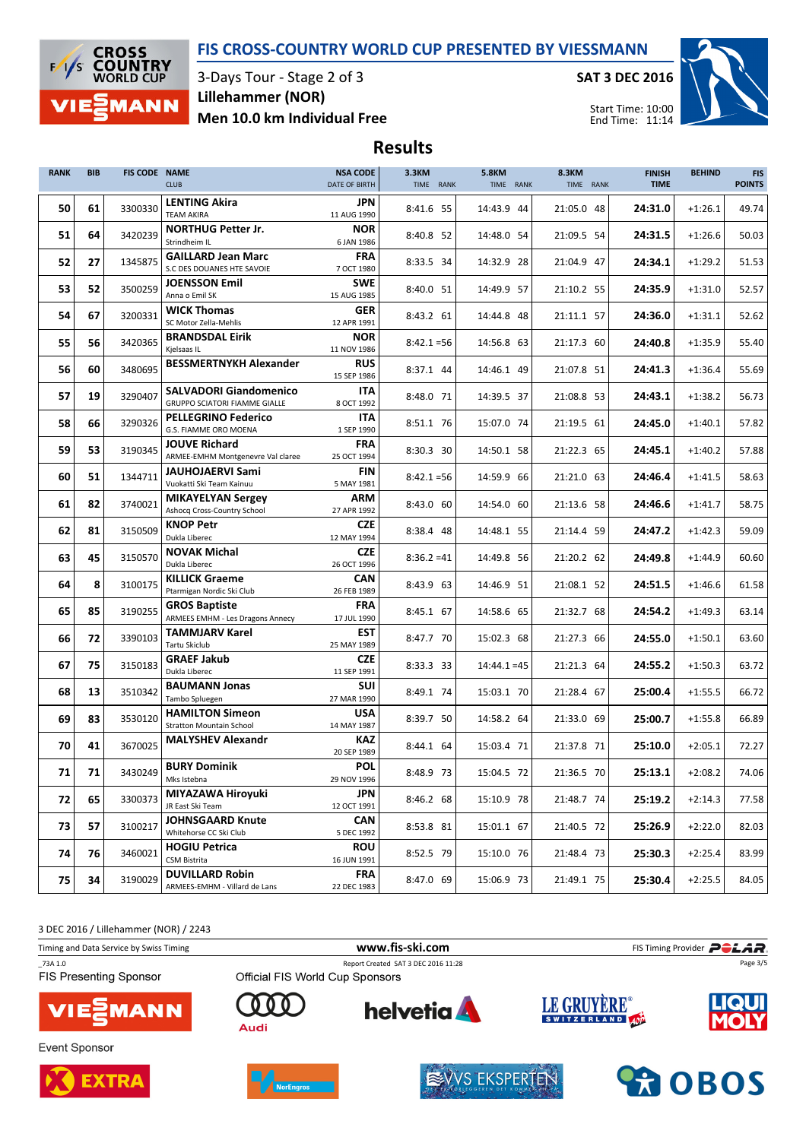

3-Days Tour - Stage 2 of 3 Men 10.0 km Individual Free Lillehammer (NOR)

SAT 3 DEC 2016



### Results

| <b>RANK</b> | <b>BIB</b> | FIS CODE NAME | <b>CLUB</b>                                                           | <b>NSA CODE</b><br>DATE OF BIRTH | 3.3KM<br>TIME RANK | <b>5.8KM</b><br>TIME RANK | 8.3KM<br>TIME RANK | <b>FINISH</b><br><b>TIME</b> | <b>BEHIND</b> | <b>FIS</b><br><b>POINTS</b> |
|-------------|------------|---------------|-----------------------------------------------------------------------|----------------------------------|--------------------|---------------------------|--------------------|------------------------------|---------------|-----------------------------|
| 50          | 61         | 3300330       | <b>LENTING Akira</b><br><b>TEAM AKIRA</b>                             | <b>JPN</b><br>11 AUG 1990        | 8:41.6 55          | 14:43.9 44                | 21:05.0 48         | 24:31.0                      | $+1:26.1$     | 49.74                       |
| 51          | 64         | 3420239       | <b>NORTHUG Petter Jr.</b><br>Strindheim IL                            | <b>NOR</b><br>6 JAN 1986         | 8:40.8 52          | 14:48.0 54                | 21:09.5 54         | 24:31.5                      | $+1:26.6$     | 50.03                       |
| 52          | 27         | 1345875       | <b>GAILLARD Jean Marc</b><br>S.C DES DOUANES HTE SAVOIE               | <b>FRA</b><br>7 OCT 1980         | 8:33.5 34          | 14:32.9 28                | 21:04.9 47         | 24:34.1                      | $+1:29.2$     | 51.53                       |
| 53          | 52         | 3500259       | <b>JOENSSON Emil</b><br>Anna o Emil SK                                | <b>SWE</b><br>15 AUG 1985        | 8:40.0 51          | 14:49.9 57                | 21:10.2 55         | 24:35.9                      | $+1:31.0$     | 52.57                       |
| 54          | 67         | 3200331       | <b>WICK Thomas</b><br>SC Motor Zella-Mehlis                           | <b>GER</b><br>12 APR 1991        | 8:43.2 61          | 14:44.8 48                | 21:11.1 57         | 24:36.0                      | $+1:31.1$     | 52.62                       |
| 55          | 56         | 3420365       | <b>BRANDSDAL Eirik</b><br>Kjelsaas IL                                 | <b>NOR</b><br>11 NOV 1986        | $8:42.1 = 56$      | 14:56.8 63                | 21:17.3 60         | 24:40.8                      | $+1:35.9$     | 55.40                       |
| 56          | 60         | 3480695       | <b>BESSMERTNYKH Alexander</b>                                         | <b>RUS</b><br>15 SEP 1986        | 8:37.1 44          | 14:46.1 49                | 21:07.8 51         | 24:41.3                      | $+1:36.4$     | 55.69                       |
| 57          | 19         | 3290407       | <b>SALVADORI Giandomenico</b><br><b>GRUPPO SCIATORI FIAMME GIALLE</b> | ITA<br>8 OCT 1992                | 8:48.0 71          | 14:39.5 37                | 21:08.8 53         | 24:43.1                      | $+1:38.2$     | 56.73                       |
| 58          | 66         | 3290326       | <b>PELLEGRINO Federico</b><br>G.S. FIAMME ORO MOENA                   | <b>ITA</b><br>1 SEP 1990         | 8:51.1 76          | 15:07.0 74                | 21:19.5 61         | 24:45.0                      | $+1:40.1$     | 57.82                       |
| 59          | 53         | 3190345       | <b>JOUVE Richard</b><br>ARMEE-EMHM Montgenevre Val claree             | <b>FRA</b><br>25 OCT 1994        | 8:30.3 30          | 14:50.1 58                | 21:22.3 65         | 24:45.1                      | $+1:40.2$     | 57.88                       |
| 60          | 51         | 1344711       | <b>JAUHOJAERVI Sami</b><br>Vuokatti Ski Team Kainuu                   | <b>FIN</b><br>5 MAY 1981         | $8:42.1 = 56$      | 14:59.9 66                | 21:21.0 63         | 24:46.4                      | $+1:41.5$     | 58.63                       |
| 61          | 82         | 3740021       | <b>MIKAYELYAN Sergev</b><br>Ashocq Cross-Country School               | ARM<br>27 APR 1992               | 8:43.0 60          | 14:54.0 60                | 21:13.6 58         | 24:46.6                      | $+1:41.7$     | 58.75                       |
| 62          | 81         | 3150509       | <b>KNOP Petr</b><br>Dukla Liberec                                     | <b>CZE</b><br>12 MAY 1994        | 8:38.4 48          | 14:48.1 55                | 21:14.4 59         | 24:47.2                      | $+1:42.3$     | 59.09                       |
| 63          | 45         | 3150570       | <b>NOVAK Michal</b><br>Dukla Liberec                                  | <b>CZE</b><br>26 OCT 1996        | $8:36.2=41$        | 14:49.8 56                | 21:20.2 62         | 24:49.8                      | $+1:44.9$     | 60.60                       |
| 64          | 8          | 3100175       | <b>KILLICK Graeme</b><br>Ptarmigan Nordic Ski Club                    | <b>CAN</b><br>26 FEB 1989        | 8:43.9 63          | 14:46.9 51                | 21:08.1 52         | 24:51.5                      | $+1:46.6$     | 61.58                       |
| 65          | 85         | 3190255       | <b>GROS Baptiste</b><br><b>ARMEES EMHM - Les Dragons Annecy</b>       | <b>FRA</b><br>17 JUL 1990        | 8:45.1 67          | 14:58.6 65                | 21:32.7 68         | 24:54.2                      | $+1:49.3$     | 63.14                       |
| 66          | 72         | 3390103       | <b>TAMMJARV Karel</b><br>Tartu Skiclub                                | <b>EST</b><br>25 MAY 1989        | 8:47.7 70          | 15:02.3 68                | 21:27.3 66         | 24:55.0                      | $+1:50.1$     | 63.60                       |
| 67          | 75         | 3150183       | <b>GRAEF Jakub</b><br>Dukla Liberec                                   | <b>CZE</b><br>11 SEP 1991        | 8:33.3 33          | $14:44.1 = 45$            | 21:21.3 64         | 24:55.2                      | $+1:50.3$     | 63.72                       |
| 68          | 13         | 3510342       | <b>BAUMANN Jonas</b><br>Tambo Spluegen                                | <b>SUI</b><br>27 MAR 1990        | 8:49.1 74          | 15:03.1 70                | 21:28.4 67         | 25:00.4                      | $+1:55.5$     | 66.72                       |
| 69          | 83         | 3530120       | <b>HAMILTON Simeon</b><br><b>Stratton Mountain School</b>             | <b>USA</b><br>14 MAY 1987        | 8:39.7 50          | 14:58.2 64                | 21:33.0 69         | 25:00.7                      | $+1:55.8$     | 66.89                       |
| 70          | 41         | 3670025       | <b>MALYSHEV Alexandr</b>                                              | <b>KAZ</b><br>20 SEP 1989        | 8:44.1 64          | 15:03.4 71                | 21:37.8 71         | 25:10.0                      | $+2:05.1$     | 72.27                       |
| 71          | 71         | 3430249       | <b>BURY Dominik</b><br>Mks Istebna                                    | <b>POL</b><br>29 NOV 1996        | 8:48.9 73          | 15:04.5 72                | 21:36.5 70         | 25:13.1                      | $+2:08.2$     | 74.06                       |
| 72          | 65         | 3300373       | <b>MIYAZAWA Hiroyuki</b><br>JR East Ski Team                          | <b>JPN</b><br>12 OCT 1991        | 8:46.2 68          | 15:10.9 78                | 21:48.7 74         | 25:19.2                      | $+2:14.3$     | 77.58                       |
| 73          | 57         | 3100217       | <b>JOHNSGAARD Knute</b><br>Whitehorse CC Ski Club                     | <b>CAN</b><br>5 DEC 1992         | 8:53.8 81          | 15:01.1 67                | 21:40.5 72         | 25:26.9                      | $+2:22.0$     | 82.03                       |
| 74          | 76         | 3460021       | <b>HOGIU Petrica</b><br>CSM Bistrita                                  | <b>ROU</b><br>16 JUN 1991        | 8:52.5 79          | 15:10.0 76                | 21:48.4 73         | 25:30.3                      | $+2:25.4$     | 83.99                       |
| 75          | 34         | 3190029       | <b>DUVILLARD Robin</b><br>ARMEES-EMHM - Villard de Lans               | <b>FRA</b><br>22 DEC 1983        | 8:47.0 69          | 15:06.9 73                | 21:49.1 75         | 25:30.4                      | $+2:25.5$     | 84.05                       |

3 DEC 2016 / Lillehammer (NOR) / 2243

Timing and Data Service by Swiss Timing **Filter State of Timing Provider** Policy of the **POLAR** 

\_73A 1.0 Report Created SAT 3 DEC 2016 11:28 FIS Presenting Sponsor



Event Sponsor





n

Audi



**helvetia** 



LE GRUYÈRE®

Page 3/5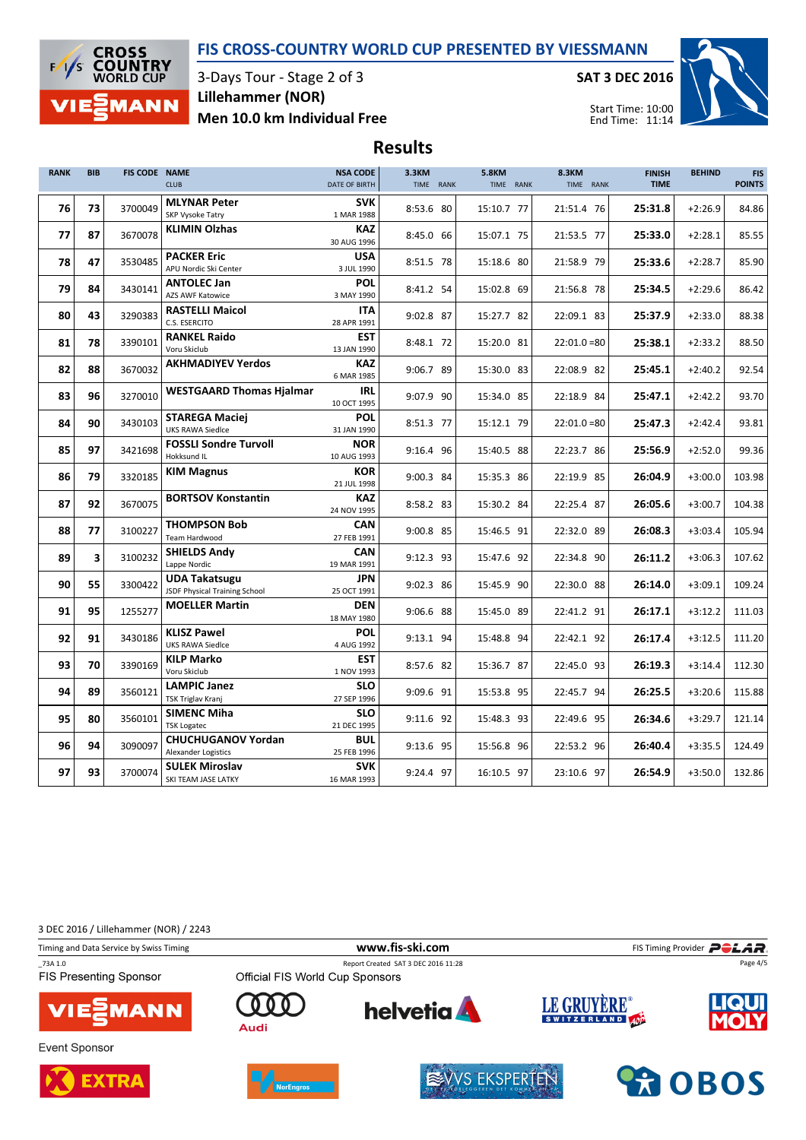

3-Days Tour - Stage 2 of 3 Men 10.0 km Individual Free Lillehammer (NOR)

SAT 3 DEC 2016



Start Time: 10:00 End Time: 11:14

## Results

| <b>RANK</b> | <b>BIB</b> | <b>FIS CODE NAME</b> | <b>CLUB</b>                                           | <b>NSA CODE</b><br><b>DATE OF BIRTH</b> | 3.3KM<br>TIME RANK | <b>5.8KM</b><br>TIME RANK | 8.3KM<br>TIME RANK | <b>FINISH</b><br><b>TIME</b> | <b>BEHIND</b> | <b>FIS</b><br><b>POINTS</b> |
|-------------|------------|----------------------|-------------------------------------------------------|-----------------------------------------|--------------------|---------------------------|--------------------|------------------------------|---------------|-----------------------------|
| 76          | 73         | 3700049              | <b>MLYNAR Peter</b><br><b>SKP Vysoke Tatry</b>        | <b>SVK</b><br>1 MAR 1988                | 8:53.6 80          | 15:10.7 77                | 21:51.4 76         | 25:31.8                      | $+2:26.9$     | 84.86                       |
| 77          | 87         | 3670078              | <b>KLIMIN Olzhas</b>                                  | <b>KAZ</b><br>30 AUG 1996               | 8:45.0 66          | 15:07.1 75                | 21:53.5 77         | 25:33.0                      | $+2:28.1$     | 85.55                       |
| 78          | 47         | 3530485              | <b>PACKER Eric</b><br>APU Nordic Ski Center           | <b>USA</b><br>3 JUL 1990                | 8:51.5 78          | 15:18.6 80                | 21:58.9 79         | 25:33.6                      | $+2:28.7$     | 85.90                       |
| 79          | 84         | 3430141              | <b>ANTOLEC Jan</b><br><b>AZS AWF Katowice</b>         | <b>POL</b><br>3 MAY 1990                | 8:41.2 54          | 15:02.8 69                | 21:56.8 78         | 25:34.5                      | $+2:29.6$     | 86.42                       |
| 80          | 43         | 3290383              | <b>RASTELLI Maicol</b><br>C.S. ESERCITO               | <b>ITA</b><br>28 APR 1991               | 9:02.8 87          | 15:27.7 82                | 22:09.1 83         | 25:37.9                      | $+2:33.0$     | 88.38                       |
| 81          | 78         | 3390101              | <b>RANKEL Raido</b><br>Voru Skiclub                   | EST<br>13 JAN 1990                      | 8:48.1 72          | 15:20.0 81                | $22:01.0=80$       | 25:38.1                      | $+2:33.2$     | 88.50                       |
| 82          | 88         | 3670032              | <b>AKHMADIYEV Yerdos</b>                              | <b>KAZ</b><br>6 MAR 1985                | 9:06.7 89          | 15:30.0 83                | 22:08.9 82         | 25:45.1                      | $+2:40.2$     | 92.54                       |
| 83          | 96         | 3270010              | <b>WESTGAARD Thomas Hjalmar</b>                       | <b>IRL</b><br>10 OCT 1995               | 9:07.9 90          | 15:34.0 85                | 22:18.9 84         | 25:47.1                      | $+2:42.2$     | 93.70                       |
| 84          | 90         | 3430103              | <b>STAREGA Maciej</b><br><b>UKS RAWA Siedlce</b>      | <b>POL</b><br>31 JAN 1990               | 8:51.3 77          | 15:12.1 79                | $22:01.0=80$       | 25:47.3                      | $+2:42.4$     | 93.81                       |
| 85          | 97         | 3421698              | <b>FOSSLI Sondre Turvoll</b><br>Hokksund IL           | <b>NOR</b><br>10 AUG 1993               | 9:16.4 96          | 15:40.5 88                | 22:23.7 86         | 25:56.9                      | $+2:52.0$     | 99.36                       |
| 86          | 79         | 3320185              | <b>KIM Magnus</b>                                     | <b>KOR</b><br>21 JUL 1998               | 9:00.3 84          | 15:35.3 86                | 22:19.9 85         | 26:04.9                      | $+3:00.0$     | 103.98                      |
| 87          | 92         | 3670075              | <b>BORTSOV Konstantin</b>                             | <b>KAZ</b><br>24 NOV 1995               | 8:58.2 83          | 15:30.2 84                | 22:25.4 87         | 26:05.6                      | $+3:00.7$     | 104.38                      |
| 88          | 77         | 3100227              | <b>THOMPSON Bob</b><br><b>Team Hardwood</b>           | <b>CAN</b><br>27 FEB 1991               | 9:00.8 85          | 15:46.5 91                | 22:32.0 89         | 26:08.3                      | $+3:03.4$     | 105.94                      |
| 89          | 3          | 3100232              | <b>SHIELDS Andv</b><br>Lappe Nordic                   | CAN<br>19 MAR 1991                      | 9:12.3 93          | 15:47.6 92                | 22:34.8 90         | 26:11.2                      | $+3:06.3$     | 107.62                      |
| 90          | 55         | 3300422              | <b>UDA Takatsugu</b><br>JSDF Physical Training School | <b>JPN</b><br>25 OCT 1991               | 9:02.3 86          | 15:45.9 90                | 22:30.0 88         | 26:14.0                      | $+3:09.1$     | 109.24                      |
| 91          | 95         | 1255277              | <b>MOELLER Martin</b>                                 | <b>DEN</b><br>18 MAY 1980               | 9:06.6 88          | 15:45.0 89                | 22:41.2 91         | 26:17.1                      | $+3:12.2$     | 111.03                      |
| 92          | 91         | 3430186              | <b>KLISZ Pawel</b><br><b>UKS RAWA Siedlce</b>         | <b>POL</b><br>4 AUG 1992                | 9:13.1 94          | 15:48.8 94                | 22:42.1 92         | 26:17.4                      | $+3:12.5$     | 111.20                      |
| 93          | 70         | 3390169              | <b>KILP Marko</b><br>Voru Skiclub                     | <b>EST</b><br>1 NOV 1993                | 8:57.6 82          | 15:36.7 87                | 22:45.0 93         | 26:19.3                      | $+3:14.4$     | 112.30                      |
| 94          | 89         | 3560121              | <b>LAMPIC Janez</b><br><b>TSK Triglav Kranj</b>       | <b>SLO</b><br>27 SEP 1996               | 9:09.6 91          | 15:53.8 95                | 22:45.7 94         | 26:25.5                      | $+3:20.6$     | 115.88                      |
| 95          | 80         | 3560101              | <b>SIMENC Miha</b><br><b>TSK Logatec</b>              | <b>SLO</b><br>21 DEC 1995               | 9:11.6 92          | 15:48.3 93                | 22:49.6 95         | 26:34.6                      | $+3:29.7$     | 121.14                      |
| 96          | 94         | 3090097              | <b>CHUCHUGANOV Yordan</b><br>Alexander Logistics      | <b>BUL</b><br>25 FEB 1996               | 9:13.6 95          | 15:56.8 96                | 22:53.2 96         | 26:40.4                      | $+3:35.5$     | 124.49                      |
| 97          | 93         | 3700074              | <b>SULEK Miroslav</b><br>SKI TEAM JASE LATKY          | <b>SVK</b><br>16 MAR 1993               | 9:24.4 97          | 16:10.5 97                | 23:10.6 97         | 26:54.9                      | $+3:50.0$     | 132.86                      |

3 DEC 2016 / Lillehammer (NOR) / 2243

Timing and Data Service by Swiss Timing **Filter State of Timing Provider** Policy of the **POLAR** 

\_73A 1.0 Report Created SAT 3 DEC 2016 11:28 FIS Presenting Sponsor



Event Sponsor





n

Audi



**helvetia** 



Page 4/5



LE GRUYÈRE®